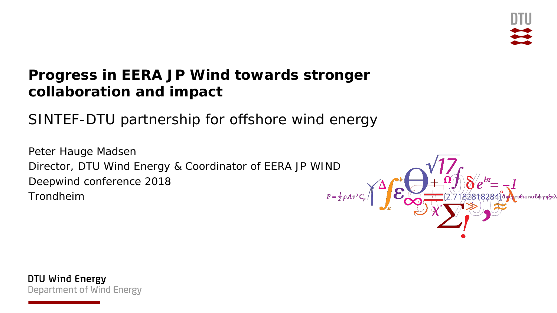#### **Progress in EERA JP Wind towards stronger collaboration and impact**

SINTEF-DTU partnership for offshore wind energy

Peter Hauge Madsen Director, DTU Wind Energy & Coordinator of EERA JP WIND Deepwind conference 2018 Trondheim



DTU Wind Energy Department of Wind Energy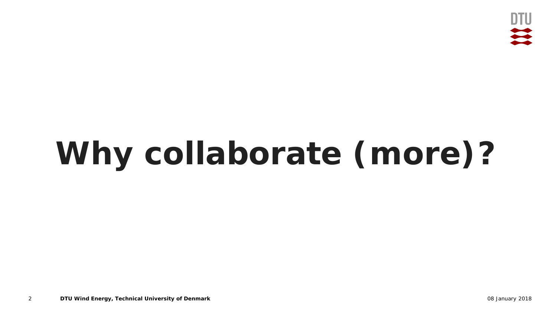

# **Why collaborate (more)?**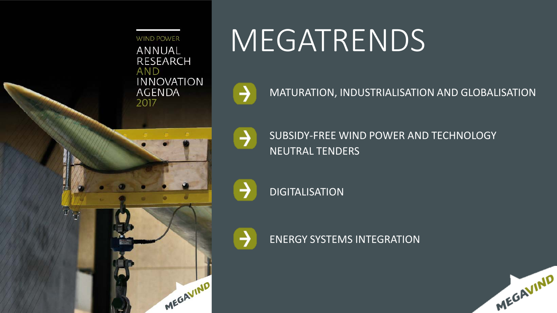**WIND POWER** ANNUAL RESEARCH **AND INNOVATION AGENDA** 2017

MEGAVIND

# MEGATRENDS

 $\rightarrow$ 

⊣

SUBSIDY-FREE WIND POWER AND TECHNOLOGY NEUTRAL TENDERS

MATURATION, INDUSTRIALISATION AND GLOBALISATION

DIGITALISATION

ENERGY SYSTEMS INTEGRATION

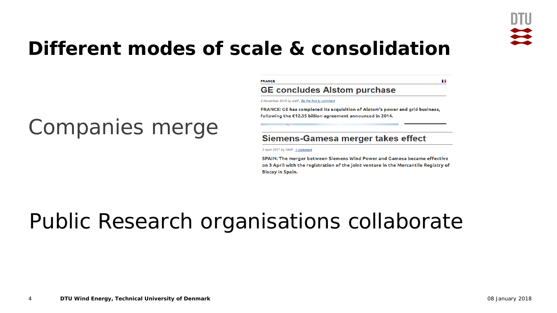

m m

#### **Different modes of scale & consolidation**

#### Companies merge

| <b>FRANCE</b>                       |  |
|-------------------------------------|--|
| <b>GE concludes Alstom purchase</b> |  |

2 November 2015 by staff, Be the first to comment

FRANCE: GE has completed its acquisition of Alstom's power and grid business, following the €12.35 billion agreement announced in 2014.

#### Siemens-Gamesa merger takes effect

3 April 2017 by Staff, 1 comment

SPAIN: The merger between Siemens Wind Power and Gamesa became effective on 3 April with the registration of the joint venture in the Mercantile Registry of **Biscay in Spain.** 

#### Public Research organisations collaborate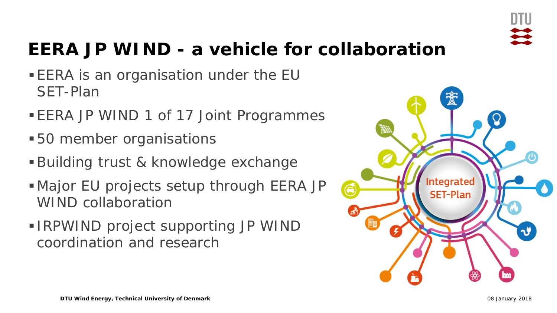

#### **EERA JP WIND - a vehicle for collaboration**

- **EERA is an organisation under the EU** SET-Plan
- **EERA JP WIND 1 of 17 Joint Programmes**
- **50 member organisations**
- Building trust & knowledge exchange
- Major EU projects setup through EERA JP WIND collaboration
- **IRPWIND project supporting JP WIND** coordination and research

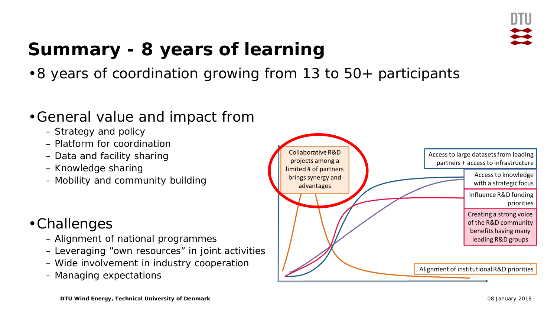

#### **Summary - 8 years of learning**

•8 years of coordination growing from 13 to 50+ participants

#### •General value and impact from

- Strategy and policy
- Platform for coordination
- Data and facility sharing
- Knowledge sharing
- Mobility and community building

#### •Challenges

- Alignment of national programmes
- Leveraging "own resources" in joint activities
- Wide involvement in industry cooperation
- Managing expectations

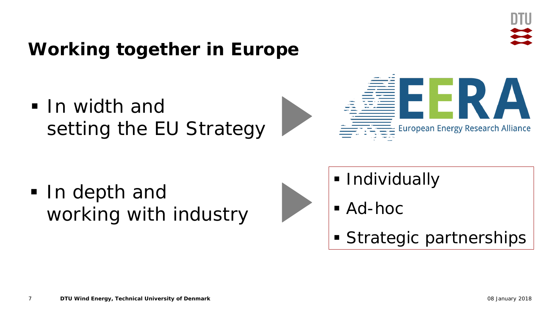#### **Working together in Europe**

**In width and** setting the EU Strategy

In depth and working with industry

- **Individually**
- Ad-hoc
- **Strategic partnerships**

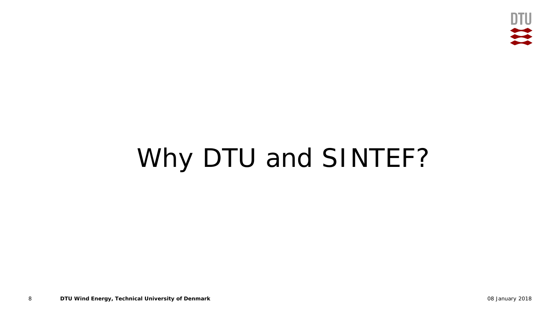

## Why DTU and SINTEF?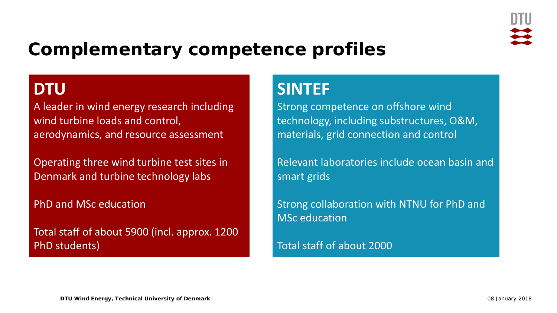

#### **Complementary competence profiles**

#### **DTU**

A leader in wind energy research including wind turbine loads and control, aerodynamics, and resource assessment

Operating three wind turbine test sites in Denmark and turbine technology labs

PhD and MSc education

Total staff of about 5900 (incl. approx. 1200 PhD students)

#### **SINTEF**

Strong competence on offshore wind technology, including substructures, O&M, materials, grid connection and control

Relevant laboratories include ocean basin and smart grids

Strong collaboration with NTNU for PhD and MSc education

Total staff of about 2000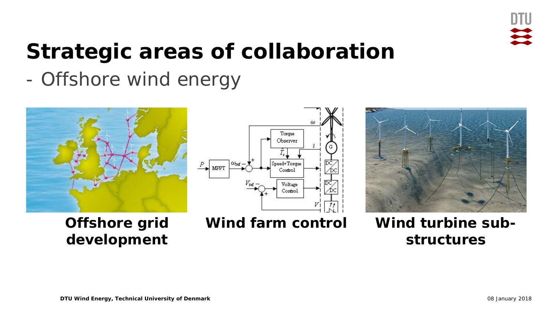

### **Strategic areas of collaboration**

- Offshore wind energy



**Offshore grid development**





**Wind farm control Wind turbine substructures**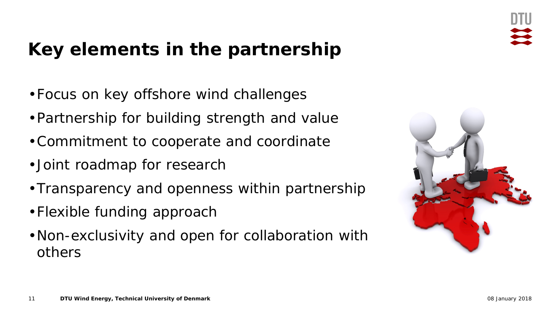#### **Key elements in the partnership**

- •Focus on key offshore wind challenges
- •Partnership for building strength and value
- •Commitment to cooperate and coordinate
- •Joint roadmap for research
- •Transparency and openness within partnership
- •Flexible funding approach
- •Non-exclusivity and open for collaboration with others

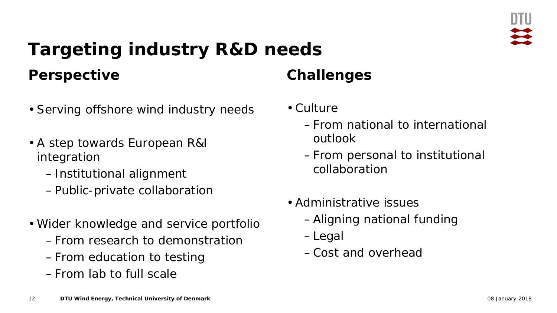#### **Targeting industry R&D needs Perspective**

- Serving offshore wind industry needs
- A step towards European R&I integration
	- –Institutional alignment
	- –Public-private collaboration
- Wider knowledge and service portfolio
	- –From research to demonstration
	- –From education to testing
	- –From lab to full scale

#### **Challenges**

- Culture
	- –From national to international outlook
	- –From personal to institutional collaboration
- Administrative issues
	- –Aligning national funding
	- –Legal
	- –Cost and overhead